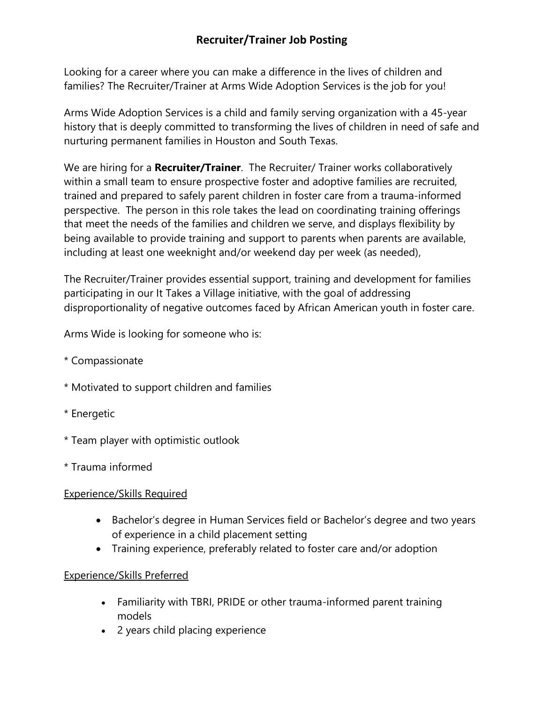# **Recruiter/Trainer Job Posting**

Looking for a career where you can make a difference in the lives of children and families? The Recruiter/Trainer at Arms Wide Adoption Services is the job for you!

Arms Wide Adoption Services is a child and family serving organization with a 45-year history that is deeply committed to transforming the lives of children in need of safe and nurturing permanent families in Houston and South Texas.

We are hiring for a **Recruiter/Trainer**. The Recruiter/ Trainer works collaboratively within a small team to ensure prospective foster and adoptive families are recruited, trained and prepared to safely parent children in foster care from a trauma-informed perspective. The person in this role takes the lead on coordinating training offerings that meet the needs of the families and children we serve, and displays flexibility by being available to provide training and support to parents when parents are available, including at least one weeknight and/or weekend day per week (as needed),

The Recruiter/Trainer provides essential support, training and development for families participating in our It Takes a Village initiative, with the goal of addressing disproportionality of negative outcomes faced by African American youth in foster care.

Arms Wide is looking for someone who is:

- \* Compassionate
- \* Motivated to support children and families
- \* Energetic
- \* Team player with optimistic outlook
- \* Trauma informed

### Experience/Skills Required

- Bachelor's degree in Human Services field or Bachelor's degree and two years of experience in a child placement setting
- Training experience, preferably related to foster care and/or adoption

### Experience/Skills Preferred

- Familiarity with TBRI, PRIDE or other trauma-informed parent training models
- 2 years child placing experience